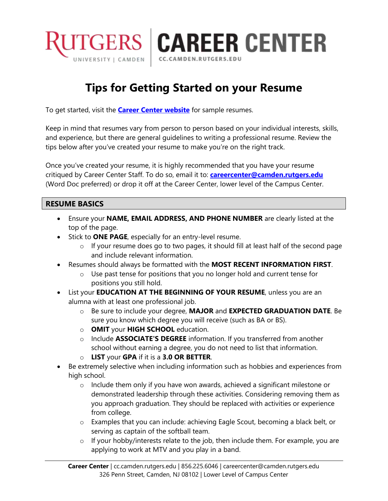

## **Tips for Getting Started on your Resume**

CC.CAMDEN.RUTGERS.EDU

To get started, visit the **[Career Center website](https://cc.camden.rutgers.edu/preparing-resumes-and-cover-letters)** for sample resumes.

Keep in mind that resumes vary from person to person based on your individual interests, skills, and experience, but there are general guidelines to writing a professional resume. Review the tips below after you've created your resume to make you're on the right track.

Once you've created your resume, it is highly recommended that you have your resume critiqued by Career Center Staff. To do so, email it to: **[careercenter@camden.rutgers.edu](mailto:careercenter@camden.rutgers.edu)** (Word Doc preferred) or drop it off at the Career Center, lower level of the Campus Center.

## **RESUME BASICS**

- Ensure your **NAME, EMAIL ADDRESS, AND PHONE NUMBER** are clearly listed at the top of the page.
- **Stick to ONE PAGE**, especially for an entry-level resume.
	- o If your resume does go to two pages, it should fill at least half of the second page and include relevant information.
- Resumes should always be formatted with the **MOST RECENT INFORMATION FIRST**.
	- $\circ$  Use past tense for positions that you no longer hold and current tense for positions you still hold.
- List your **EDUCATION AT THE BEGINNING OF YOUR RESUME**, unless you are an alumna with at least one professional job.
	- o Be sure to include your degree, **MAJOR** and **EXPECTED GRADUATION DATE**. Be sure you know which degree you will receive (such as BA or BS).
	- o **OMIT** your **HIGH SCHOOL** education.
	- o Include **ASSOCIATE'S DEGREE** information. If you transferred from another school without earning a degree, you do not need to list that information.
	- o **LIST** your **GPA** if it is a **3.0 OR BETTER**.
- Be extremely selective when including information such as hobbies and experiences from high school.
	- o Include them only if you have won awards, achieved a significant milestone or demonstrated leadership through these activities. Considering removing them as you approach graduation. They should be replaced with activities or experience from college.
	- o Examples that you can include: achieving Eagle Scout, becoming a black belt, or serving as captain of the softball team.
	- $\circ$  If your hobby/interests relate to the job, then include them. For example, you are applying to work at MTV and you play in a band.